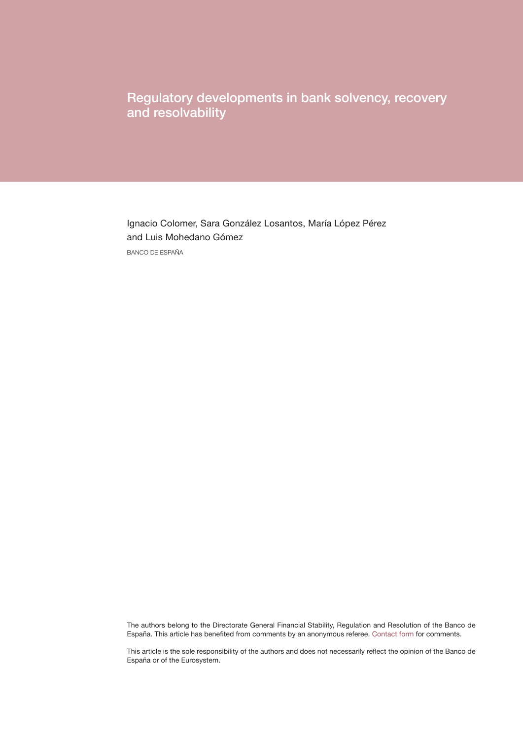Regulatory developments in bank solvency, recovery and resolvability

Ignacio Colomer, Sara González Losantos, María López Pérez and Luis Mohedano Gómez BANCO DE ESPAÑA

The authors belong to the Directorate General Financial Stability, Regulation and Resolution of the Banco de España. This article has benefited from comments by an anonymous referee. [Contact form](https://app.bde.es/gnt_seg/en/contacto?a=329c99DiBw9JQtLObNFrTzoaMj35Eo8u) for comments.

This article is the sole responsibility of the authors and does not necessarily reflect the opinion of the Banco de España or of the Eurosystem.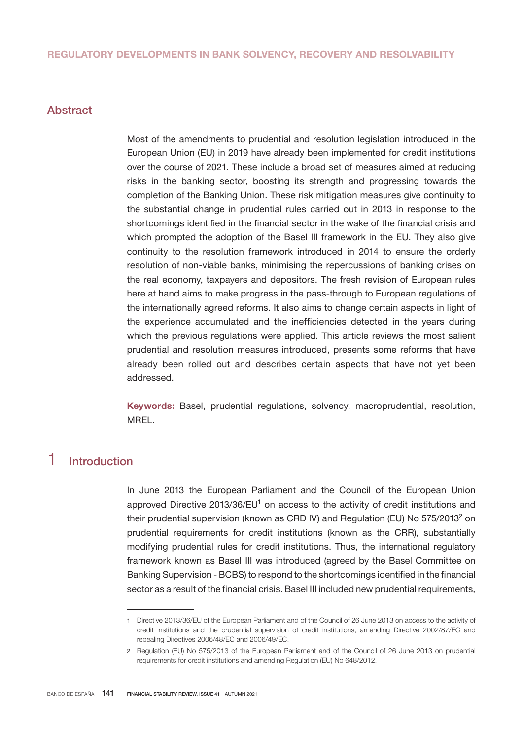## Abstract

Most of the amendments to prudential and resolution legislation introduced in the European Union (EU) in 2019 have already been implemented for credit institutions over the course of 2021. These include a broad set of measures aimed at reducing risks in the banking sector, boosting its strength and progressing towards the completion of the Banking Union. These risk mitigation measures give continuity to the substantial change in prudential rules carried out in 2013 in response to the shortcomings identified in the financial sector in the wake of the financial crisis and which prompted the adoption of the Basel III framework in the EU. They also give continuity to the resolution framework introduced in 2014 to ensure the orderly resolution of non-viable banks, minimising the repercussions of banking crises on the real economy, taxpayers and depositors. The fresh revision of European rules here at hand aims to make progress in the pass-through to European regulations of the internationally agreed reforms. It also aims to change certain aspects in light of the experience accumulated and the inefficiencies detected in the years during which the previous regulations were applied. This article reviews the most salient prudential and resolution measures introduced, presents some reforms that have already been rolled out and describes certain aspects that have not yet been addressed.

Keywords: Basel, prudential regulations, solvency, macroprudential, resolution, MREL.

# 1 Introduction

In June 2013 the European Parliament and the Council of the European Union approved Directive 2013/36/EU<sup>1</sup> on access to the activity of credit institutions and their prudential supervision (known as CRD IV) and Regulation (EU) No 575/2013<sup>2</sup> on prudential requirements for credit institutions (known as the CRR), substantially modifying prudential rules for credit institutions. Thus, the international regulatory framework known as Basel III was introduced (agreed by the Basel Committee on Banking Supervision - BCBS) to respond to the shortcomings identified in the financial sector as a result of the financial crisis. Basel III included new prudential requirements,

<sup>1</sup> Directive 2013/36/EU of the European Parliament and of the Council of 26 June 2013 on access to the activity of credit institutions and the prudential supervision of credit institutions, amending Directive 2002/87/EC and repealing Directives 2006/48/EC and 2006/49/EC.

<sup>2</sup> Regulation (EU) No 575/2013 of the European Parliament and of the Council of 26 June 2013 on prudential requirements for credit institutions and amending Regulation (EU) No 648/2012.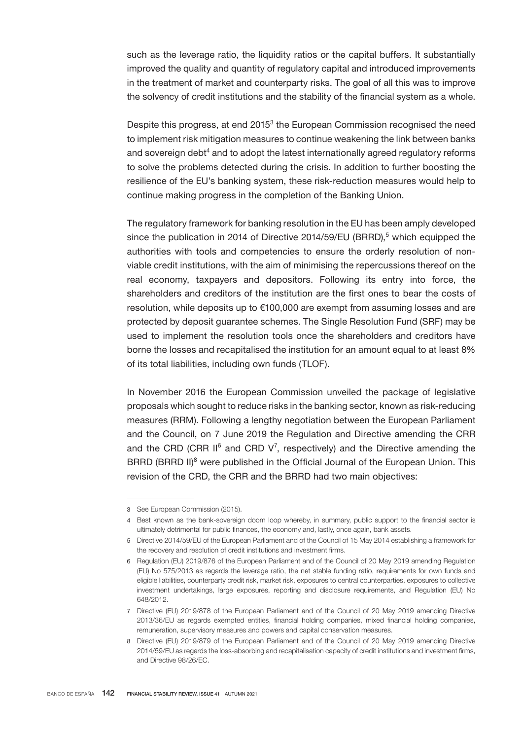such as the leverage ratio, the liquidity ratios or the capital buffers. It substantially improved the quality and quantity of regulatory capital and introduced improvements in the treatment of market and counterparty risks. The goal of all this was to improve the solvency of credit institutions and the stability of the financial system as a whole.

Despite this progress, at end 2015<sup>3</sup> the European Commission recognised the need to implement risk mitigation measures to continue weakening the link between banks and sovereign debt $^4$  and to adopt the latest internationally agreed regulatory reforms to solve the problems detected during the crisis. In addition to further boosting the resilience of the EU's banking system, these risk-reduction measures would help to continue making progress in the completion of the Banking Union.

The regulatory framework for banking resolution in the EU has been amply developed since the publication in 2014 of Directive 2014/59/EU (BRRD),<sup>5</sup> which equipped the authorities with tools and competencies to ensure the orderly resolution of nonviable credit institutions, with the aim of minimising the repercussions thereof on the real economy, taxpayers and depositors. Following its entry into force, the shareholders and creditors of the institution are the first ones to bear the costs of resolution, while deposits up to €100,000 are exempt from assuming losses and are protected by deposit guarantee schemes. The Single Resolution Fund (SRF) may be used to implement the resolution tools once the shareholders and creditors have borne the losses and recapitalised the institution for an amount equal to at least 8% of its total liabilities, including own funds (TLOF).

In November 2016 the European Commission unveiled the package of legislative proposals which sought to reduce risks in the banking sector, known as risk-reducing measures (RRM). Following a lengthy negotiation between the European Parliament and the Council, on 7 June 2019 the Regulation and Directive amending the CRR and the CRD (CRR II $^6$  and CRD V<sup>7</sup>, respectively) and the Directive amending the BRRD (BRRD II)<sup>8</sup> were published in the Official Journal of the European Union. This revision of the CRD, the CRR and the BRRD had two main objectives:

<sup>3</sup> See European Commission (2015).

<sup>4</sup> Best known as the bank-sovereign doom loop whereby, in summary, public support to the financial sector is ultimately detrimental for public finances, the economy and, lastly, once again, bank assets.

<sup>5</sup> Directive 2014/59/EU of the European Parliament and of the Council of 15 May 2014 establishing a framework for the recovery and resolution of credit institutions and investment firms.

<sup>6</sup> Regulation (EU) 2019/876 of the European Parliament and of the Council of 20 May 2019 amending Regulation (EU) No 575/2013 as regards the leverage ratio, the net stable funding ratio, requirements for own funds and eligible liabilities, counterparty credit risk, market risk, exposures to central counterparties, exposures to collective investment undertakings, large exposures, reporting and disclosure requirements, and Regulation (EU) No 648/2012.

<sup>7</sup> Directive (EU) 2019/878 of the European Parliament and of the Council of 20 May 2019 amending Directive 2013/36/EU as regards exempted entities, financial holding companies, mixed financial holding companies, remuneration, supervisory measures and powers and capital conservation measures.

<sup>8</sup> Directive (EU) 2019/879 of the European Parliament and of the Council of 20 May 2019 amending Directive 2014/59/EU as regards the loss-absorbing and recapitalisation capacity of credit institutions and investment firms, and Directive 98/26/EC.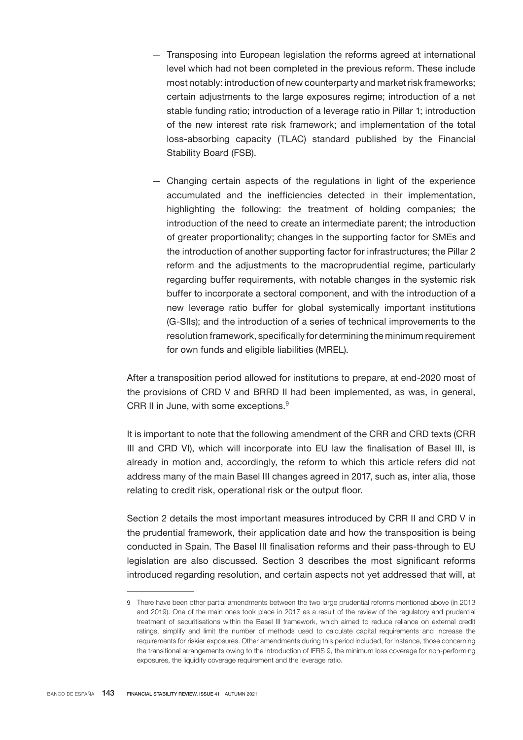- Transposing into European legislation the reforms agreed at international level which had not been completed in the previous reform. These include most notably: introduction of new counterparty and market risk frameworks; certain adjustments to the large exposures regime; introduction of a net stable funding ratio; introduction of a leverage ratio in Pillar 1; introduction of the new interest rate risk framework; and implementation of the total loss-absorbing capacity (TLAC) standard published by the Financial Stability Board (FSB).
- Changing certain aspects of the regulations in light of the experience accumulated and the inefficiencies detected in their implementation, highlighting the following: the treatment of holding companies; the introduction of the need to create an intermediate parent; the introduction of greater proportionality; changes in the supporting factor for SMEs and the introduction of another supporting factor for infrastructures; the Pillar 2 reform and the adjustments to the macroprudential regime, particularly regarding buffer requirements, with notable changes in the systemic risk buffer to incorporate a sectoral component, and with the introduction of a new leverage ratio buffer for global systemically important institutions (G-SIIs); and the introduction of a series of technical improvements to the resolution framework, specifically for determining the minimum requirement for own funds and eligible liabilities (MREL).

After a transposition period allowed for institutions to prepare, at end-2020 most of the provisions of CRD V and BRRD II had been implemented, as was, in general, CRR II in June, with some exceptions.<sup>9</sup>

It is important to note that the following amendment of the CRR and CRD texts (CRR III and CRD VI), which will incorporate into EU law the finalisation of Basel III, is already in motion and, accordingly, the reform to which this article refers did not address many of the main Basel III changes agreed in 2017, such as, inter alia, those relating to credit risk, operational risk or the output floor.

Section 2 details the most important measures introduced by CRR II and CRD V in the prudential framework, their application date and how the transposition is being conducted in Spain. The Basel III finalisation reforms and their pass-through to EU legislation are also discussed. Section 3 describes the most significant reforms introduced regarding resolution, and certain aspects not yet addressed that will, at

<sup>9</sup> There have been other partial amendments between the two large prudential reforms mentioned above (in 2013 and 2019). One of the main ones took place in 2017 as a result of the review of the regulatory and prudential treatment of securitisations within the Basel III framework, which aimed to reduce reliance on external credit ratings, simplify and limit the number of methods used to calculate capital requirements and increase the requirements for riskier exposures. Other amendments during this period included, for instance, those concerning the transitional arrangements owing to the introduction of IFRS 9, the minimum loss coverage for non-performing exposures, the liquidity coverage requirement and the leverage ratio.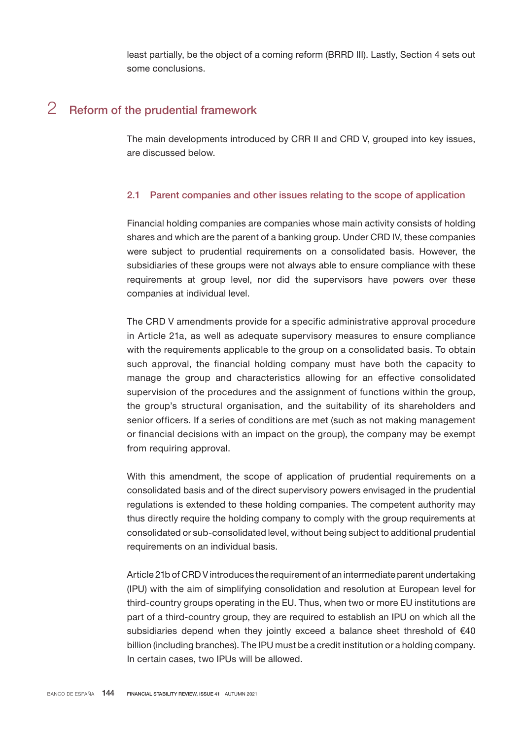least partially, be the object of a coming reform (BRRD III). Lastly, Section 4 sets out some conclusions.

# 2 Reform of the prudential framework

The main developments introduced by CRR II and CRD V, grouped into key issues, are discussed below.

## 2.1 Parent companies and other issues relating to the scope of application

Financial holding companies are companies whose main activity consists of holding shares and which are the parent of a banking group. Under CRD IV, these companies were subject to prudential requirements on a consolidated basis. However, the subsidiaries of these groups were not always able to ensure compliance with these requirements at group level, nor did the supervisors have powers over these companies at individual level.

The CRD V amendments provide for a specific administrative approval procedure in Article 21a, as well as adequate supervisory measures to ensure compliance with the requirements applicable to the group on a consolidated basis. To obtain such approval, the financial holding company must have both the capacity to manage the group and characteristics allowing for an effective consolidated supervision of the procedures and the assignment of functions within the group, the group's structural organisation, and the suitability of its shareholders and senior officers. If a series of conditions are met (such as not making management or financial decisions with an impact on the group), the company may be exempt from requiring approval.

With this amendment, the scope of application of prudential requirements on a consolidated basis and of the direct supervisory powers envisaged in the prudential regulations is extended to these holding companies. The competent authority may thus directly require the holding company to comply with the group requirements at consolidated or sub-consolidated level, without being subject to additional prudential requirements on an individual basis.

Article 21b of CRD V introduces the requirement of an intermediate parent undertaking (IPU) with the aim of simplifying consolidation and resolution at European level for third-country groups operating in the EU. Thus, when two or more EU institutions are part of a third-country group, they are required to establish an IPU on which all the subsidiaries depend when they jointly exceed a balance sheet threshold of €40 billion (including branches). The IPU must be a credit institution or a holding company. In certain cases, two IPUs will be allowed.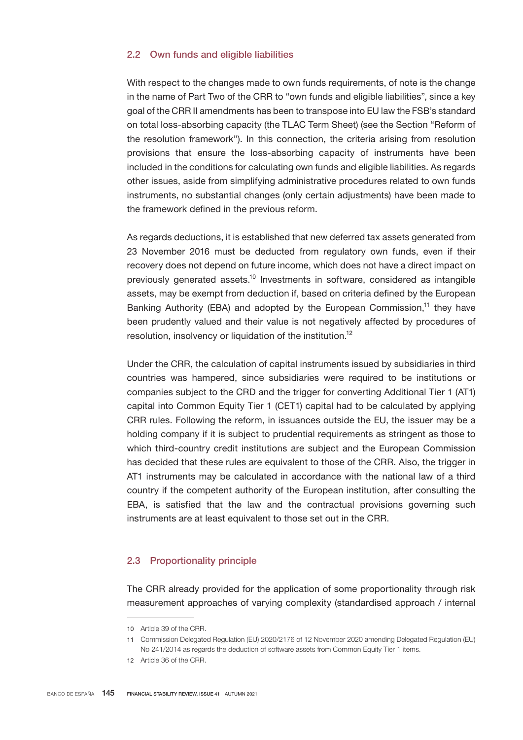## 2.2 Own funds and eligible liabilities

With respect to the changes made to own funds requirements, of note is the change in the name of Part Two of the CRR to "own funds and eligible liabilities", since a key goal of the CRR II amendments has been to transpose into EU law the FSB's standard on total loss-absorbing capacity (the TLAC Term Sheet) (see the Section "Reform of the resolution framework"). In this connection, the criteria arising from resolution provisions that ensure the loss-absorbing capacity of instruments have been included in the conditions for calculating own funds and eligible liabilities. As regards other issues, aside from simplifying administrative procedures related to own funds instruments, no substantial changes (only certain adjustments) have been made to the framework defined in the previous reform.

As regards deductions, it is established that new deferred tax assets generated from 23 November 2016 must be deducted from regulatory own funds, even if their recovery does not depend on future income, which does not have a direct impact on previously generated assets.<sup>10</sup> Investments in software, considered as intangible assets, may be exempt from deduction if, based on criteria defined by the European Banking Authority (EBA) and adopted by the European Commission,<sup>11</sup> they have been prudently valued and their value is not negatively affected by procedures of resolution, insolvency or liquidation of the institution.<sup>12</sup>

Under the CRR, the calculation of capital instruments issued by subsidiaries in third countries was hampered, since subsidiaries were required to be institutions or companies subject to the CRD and the trigger for converting Additional Tier 1 (AT1) capital into Common Equity Tier 1 (CET1) capital had to be calculated by applying CRR rules. Following the reform, in issuances outside the EU, the issuer may be a holding company if it is subject to prudential requirements as stringent as those to which third-country credit institutions are subject and the European Commission has decided that these rules are equivalent to those of the CRR. Also, the trigger in AT1 instruments may be calculated in accordance with the national law of a third country if the competent authority of the European institution, after consulting the EBA, is satisfied that the law and the contractual provisions governing such instruments are at least equivalent to those set out in the CRR.

## 2.3 Proportionality principle

The CRR already provided for the application of some proportionality through risk measurement approaches of varying complexity (standardised approach / internal

<sup>10</sup> Article 39 of the CRR.

<sup>11</sup> Commission Delegated Regulation (EU) 2020/2176 of 12 November 2020 amending Delegated Regulation (EU) No 241/2014 as regards the deduction of software assets from Common Equity Tier 1 items.

<sup>12</sup> Article 36 of the CRR.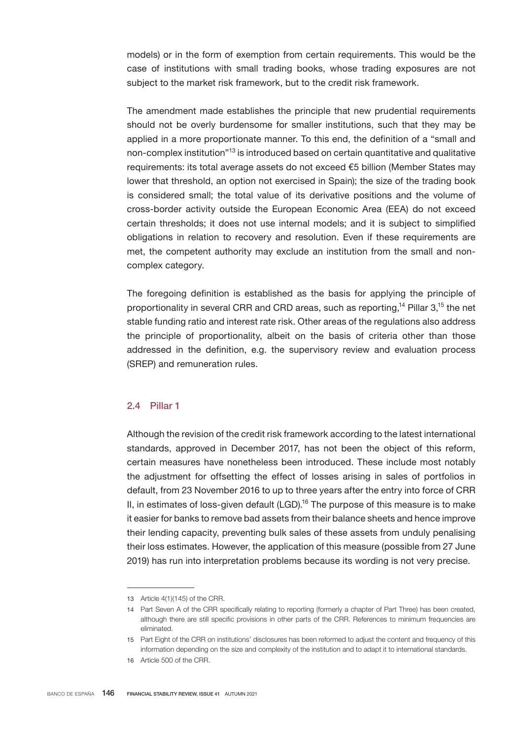models) or in the form of exemption from certain requirements. This would be the case of institutions with small trading books, whose trading exposures are not subject to the market risk framework, but to the credit risk framework.

The amendment made establishes the principle that new prudential requirements should not be overly burdensome for smaller institutions, such that they may be applied in a more proportionate manner. To this end, the definition of a "small and non-complex institution<sup>"13</sup> is introduced based on certain quantitative and qualitative requirements: its total average assets do not exceed €5 billion (Member States may lower that threshold, an option not exercised in Spain); the size of the trading book is considered small; the total value of its derivative positions and the volume of cross-border activity outside the European Economic Area (EEA) do not exceed certain thresholds; it does not use internal models; and it is subject to simplified obligations in relation to recovery and resolution. Even if these requirements are met, the competent authority may exclude an institution from the small and noncomplex category.

The foregoing definition is established as the basis for applying the principle of proportionality in several CRR and CRD areas, such as reporting,<sup>14</sup> Pillar  $3$ ,<sup>15</sup> the net stable funding ratio and interest rate risk. Other areas of the regulations also address the principle of proportionality, albeit on the basis of criteria other than those addressed in the definition, e.g. the supervisory review and evaluation process (SREP) and remuneration rules.

## 2.4 Pillar 1

Although the revision of the credit risk framework according to the latest international standards, approved in December 2017, has not been the object of this reform, certain measures have nonetheless been introduced. These include most notably the adjustment for offsetting the effect of losses arising in sales of portfolios in default, from 23 November 2016 to up to three years after the entry into force of CRR II, in estimates of loss-given default  $(LGD)$ <sup>16</sup> The purpose of this measure is to make it easier for banks to remove bad assets from their balance sheets and hence improve their lending capacity, preventing bulk sales of these assets from unduly penalising their loss estimates. However, the application of this measure (possible from 27 June 2019) has run into interpretation problems because its wording is not very precise.

<sup>13</sup> Article 4(1)(145) of the CRR.

<sup>14</sup> Part Seven A of the CRR specifically relating to reporting (formerly a chapter of Part Three) has been created, although there are still specific provisions in other parts of the CRR. References to minimum frequencies are eliminated.

<sup>15</sup> Part Eight of the CRR on institutions' disclosures has been reformed to adjust the content and frequency of this information depending on the size and complexity of the institution and to adapt it to international standards.

<sup>16</sup> Article 500 of the CRR.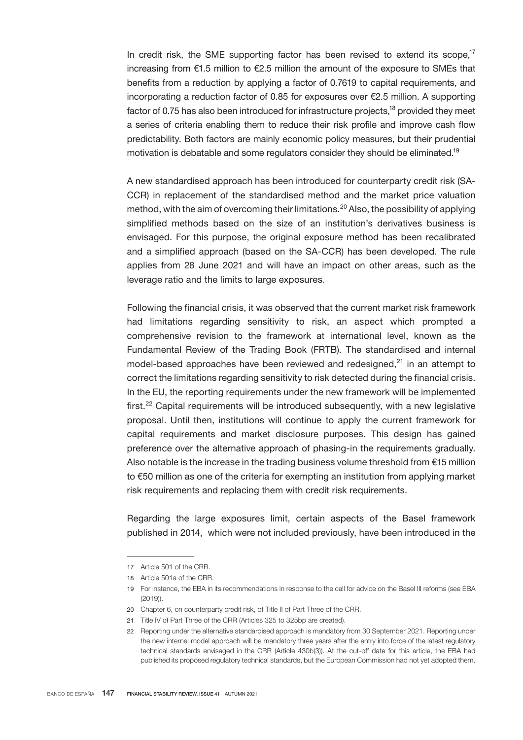In credit risk, the SME supporting factor has been revised to extend its scope.<sup>17</sup> increasing from  $\epsilon$ 1.5 million to  $\epsilon$ 2.5 million the amount of the exposure to SMEs that benefits from a reduction by applying a factor of 0.7619 to capital requirements, and incorporating a reduction factor of 0.85 for exposures over €2.5 million. A supporting factor of 0.75 has also been introduced for infrastructure projects, $18$  provided they meet a series of criteria enabling them to reduce their risk profile and improve cash flow predictability. Both factors are mainly economic policy measures, but their prudential motivation is debatable and some regulators consider they should be eliminated.<sup>19</sup>

A new standardised approach has been introduced for counterparty credit risk (SA-CCR) in replacement of the standardised method and the market price valuation method, with the aim of overcoming their limitations.<sup>20</sup> Also, the possibility of applying simplified methods based on the size of an institution's derivatives business is envisaged. For this purpose, the original exposure method has been recalibrated and a simplified approach (based on the SA-CCR) has been developed. The rule applies from 28 June 2021 and will have an impact on other areas, such as the leverage ratio and the limits to large exposures.

Following the financial crisis, it was observed that the current market risk framework had limitations regarding sensitivity to risk, an aspect which prompted a comprehensive revision to the framework at international level, known as the Fundamental Review of the Trading Book (FRTB). The standardised and internal model-based approaches have been reviewed and redesigned, $2<sup>1</sup>$  in an attempt to correct the limitations regarding sensitivity to risk detected during the financial crisis. In the EU, the reporting requirements under the new framework will be implemented first.<sup>22</sup> Capital requirements will be introduced subsequently, with a new legislative proposal. Until then, institutions will continue to apply the current framework for capital requirements and market disclosure purposes. This design has gained preference over the alternative approach of phasing-in the requirements gradually. Also notable is the increase in the trading business volume threshold from €15 million to €50 million as one of the criteria for exempting an institution from applying market risk requirements and replacing them with credit risk requirements.

Regarding the large exposures limit, certain aspects of the Basel framework published in 2014, which were not included previously, have been introduced in the

<sup>17</sup> Article 501 of the CRR.

<sup>18</sup> Article 501a of the CRR.

<sup>19</sup> For instance, the EBA in its recommendations in response to the call for advice on the Basel III reforms (see EBA (2019)).

<sup>20</sup> Chapter 6, on counterparty credit risk, of Title II of Part Three of the CRR.

<sup>21</sup> Title IV of Part Three of the CRR (Articles 325 to 325bp are created).

<sup>22</sup> Reporting under the alternative standardised approach is mandatory from 30 September 2021. Reporting under the new internal model approach will be mandatory three years after the entry into force of the latest regulatory technical standards envisaged in the CRR (Article 430b(3)). At the cut-off date for this article, the EBA had published its proposed regulatory technical standards, but the European Commission had not yet adopted them.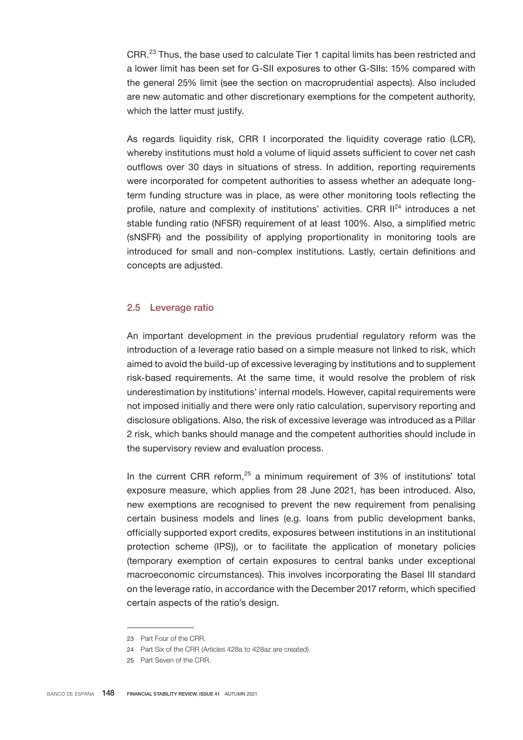CRR.<sup>23</sup> Thus, the base used to calculate Tier 1 capital limits has been restricted and a lower limit has been set for G-SII exposures to other G-SIIs: 15% compared with the general 25% limit (see the section on macroprudential aspects). Also included are new automatic and other discretionary exemptions for the competent authority, which the latter must justify.

As regards liquidity risk, CRR I incorporated the liquidity coverage ratio (LCR), whereby institutions must hold a volume of liquid assets sufficient to cover net cash outflows over 30 days in situations of stress. In addition, reporting requirements were incorporated for competent authorities to assess whether an adequate longterm funding structure was in place, as were other monitoring tools reflecting the profile, nature and complexity of institutions' activities. CRR  $II^{24}$  introduces a net stable funding ratio (NFSR) requirement of at least 100%. Also, a simplified metric (sNSFR) and the possibility of applying proportionality in monitoring tools are introduced for small and non-complex institutions. Lastly, certain definitions and concepts are adjusted.

### 2.5 Leverage ratio

An important development in the previous prudential regulatory reform was the introduction of a leverage ratio based on a simple measure not linked to risk, which aimed to avoid the build-up of excessive leveraging by institutions and to supplement risk-based requirements. At the same time, it would resolve the problem of risk underestimation by institutions' internal models. However, capital requirements were not imposed initially and there were only ratio calculation, supervisory reporting and disclosure obligations. Also, the risk of excessive leverage was introduced as a Pillar 2 risk, which banks should manage and the competent authorities should include in the supervisory review and evaluation process.

In the current CRR reform, $25$  a minimum requirement of 3% of institutions' total exposure measure, which applies from 28 June 2021, has been introduced. Also, new exemptions are recognised to prevent the new requirement from penalising certain business models and lines (e.g. loans from public development banks, officially supported export credits, exposures between institutions in an institutional protection scheme (IPS)), or to facilitate the application of monetary policies (temporary exemption of certain exposures to central banks under exceptional macroeconomic circumstances). This involves incorporating the Basel III standard on the leverage ratio, in accordance with the December 2017 reform, which specified certain aspects of the ratio's design.

<sup>23</sup> Part Four of the CRR.

<sup>24</sup> Part Six of the CRR (Articles 428a to 428az are created).

<sup>25</sup> Part Seven of the CRR.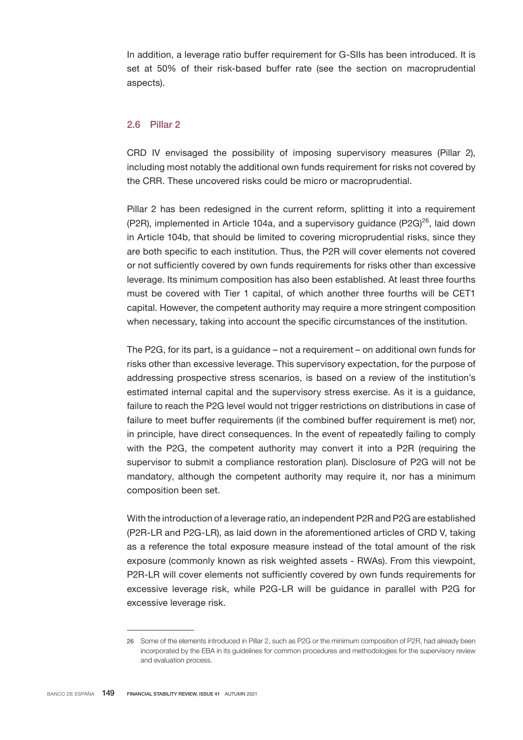In addition, a leverage ratio buffer requirement for G-SIIs has been introduced. It is set at 50% of their risk-based buffer rate (see the section on macroprudential aspects).

## 2.6 Pillar 2

CRD IV envisaged the possibility of imposing supervisory measures (Pillar 2), including most notably the additional own funds requirement for risks not covered by the CRR. These uncovered risks could be micro or macroprudential.

Pillar 2 has been redesigned in the current reform, splitting it into a requirement (P2R), implemented in Article 104a, and a supervisory quidance (P2G) $^{26}$ , laid down in Article 104b, that should be limited to covering microprudential risks, since they are both specific to each institution. Thus, the P2R will cover elements not covered or not sufficiently covered by own funds requirements for risks other than excessive leverage. Its minimum composition has also been established. At least three fourths must be covered with Tier 1 capital, of which another three fourths will be CET1 capital. However, the competent authority may require a more stringent composition when necessary, taking into account the specific circumstances of the institution.

The P2G, for its part, is a guidance – not a requirement – on additional own funds for risks other than excessive leverage. This supervisory expectation, for the purpose of addressing prospective stress scenarios, is based on a review of the institution's estimated internal capital and the supervisory stress exercise. As it is a guidance, failure to reach the P2G level would not trigger restrictions on distributions in case of failure to meet buffer requirements (if the combined buffer requirement is met) nor, in principle, have direct consequences. In the event of repeatedly failing to comply with the P2G, the competent authority may convert it into a P2R (requiring the supervisor to submit a compliance restoration plan). Disclosure of P2G will not be mandatory, although the competent authority may require it, nor has a minimum composition been set.

With the introduction of a leverage ratio, an independent P2R and P2G are established (P2R-LR and P2G-LR), as laid down in the aforementioned articles of CRD V, taking as a reference the total exposure measure instead of the total amount of the risk exposure (commonly known as risk weighted assets - RWAs). From this viewpoint, P2R-LR will cover elements not sufficiently covered by own funds requirements for excessive leverage risk, while P2G-LR will be guidance in parallel with P2G for excessive leverage risk.

<sup>26</sup> Some of the elements introduced in Pillar 2, such as P2G or the minimum composition of P2R, had already been incorporated by the EBA in its guidelines for common procedures and methodologies for the supervisory review and evaluation process.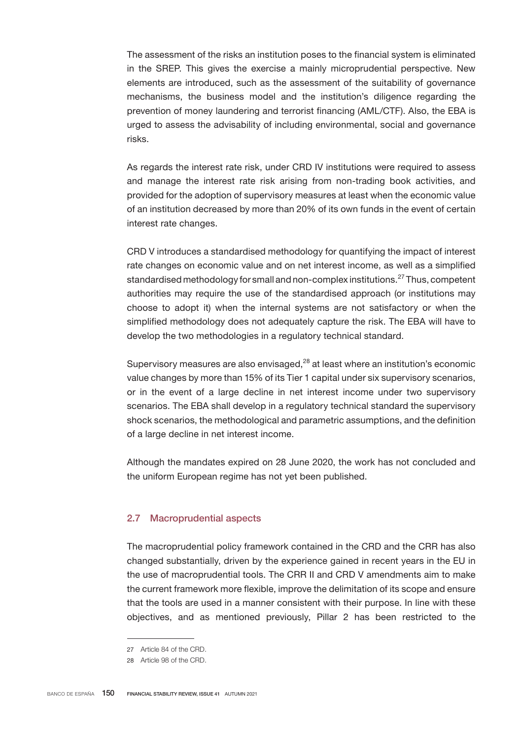The assessment of the risks an institution poses to the financial system is eliminated in the SREP. This gives the exercise a mainly microprudential perspective. New elements are introduced, such as the assessment of the suitability of governance mechanisms, the business model and the institution's diligence regarding the prevention of money laundering and terrorist financing (AML/CTF). Also, the EBA is urged to assess the advisability of including environmental, social and governance risks.

As regards the interest rate risk, under CRD IV institutions were required to assess and manage the interest rate risk arising from non-trading book activities, and provided for the adoption of supervisory measures at least when the economic value of an institution decreased by more than 20% of its own funds in the event of certain interest rate changes.

CRD V introduces a standardised methodology for quantifying the impact of interest rate changes on economic value and on net interest income, as well as a simplified standardised methodology for small and non-complex institutions.<sup>27</sup> Thus, competent authorities may require the use of the standardised approach (or institutions may choose to adopt it) when the internal systems are not satisfactory or when the simplified methodology does not adequately capture the risk. The EBA will have to develop the two methodologies in a regulatory technical standard.

Supervisory measures are also envisaged, $28$  at least where an institution's economic value changes by more than 15% of its Tier 1 capital under six supervisory scenarios, or in the event of a large decline in net interest income under two supervisory scenarios. The EBA shall develop in a regulatory technical standard the supervisory shock scenarios, the methodological and parametric assumptions, and the definition of a large decline in net interest income.

Although the mandates expired on 28 June 2020, the work has not concluded and the uniform European regime has not yet been published.

## 2.7 Macroprudential aspects

The macroprudential policy framework contained in the CRD and the CRR has also changed substantially, driven by the experience gained in recent years in the EU in the use of macroprudential tools. The CRR II and CRD V amendments aim to make the current framework more flexible, improve the delimitation of its scope and ensure that the tools are used in a manner consistent with their purpose. In line with these objectives, and as mentioned previously, Pillar 2 has been restricted to the

<sup>27</sup> Article 84 of the CRD.

<sup>28</sup> Article 98 of the CRD.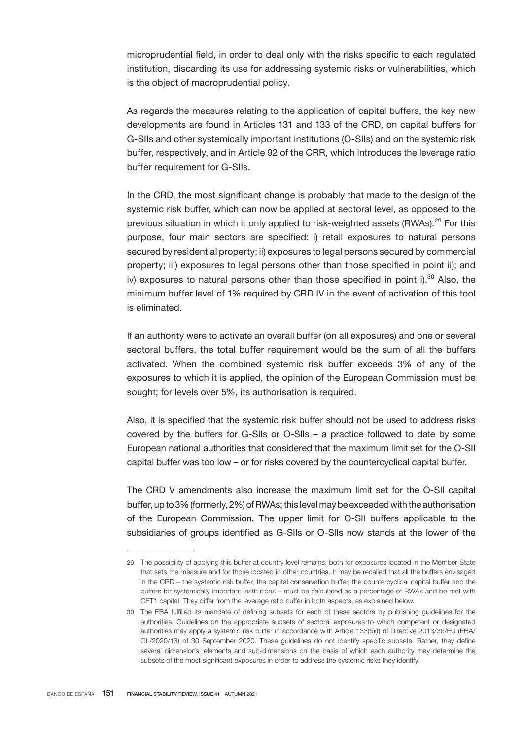microprudential field, in order to deal only with the risks specific to each regulated institution, discarding its use for addressing systemic risks or vulnerabilities, which is the object of macroprudential policy.

As regards the measures relating to the application of capital buffers, the key new developments are found in Articles 131 and 133 of the CRD, on capital buffers for G-SIIs and other systemically important institutions (O-SIIs) and on the systemic risk buffer, respectively, and in Article 92 of the CRR, which introduces the leverage ratio buffer requirement for G-SIIs.

In the CRD, the most significant change is probably that made to the design of the systemic risk buffer, which can now be applied at sectoral level, as opposed to the previous situation in which it only applied to risk-weighted assets (RWAs).<sup>29</sup> For this purpose, four main sectors are specified: i) retail exposures to natural persons secured by residential property; ii) exposures to legal persons secured by commercial property; iii) exposures to legal persons other than those specified in point ii); and iv) exposures to natural persons other than those specified in point i).<sup>30</sup> Also, the minimum buffer level of 1% required by CRD IV in the event of activation of this tool is eliminated.

If an authority were to activate an overall buffer (on all exposures) and one or several sectoral buffers, the total buffer requirement would be the sum of all the buffers activated. When the combined systemic risk buffer exceeds 3% of any of the exposures to which it is applied, the opinion of the European Commission must be sought; for levels over 5%, its authorisation is required.

Also, it is specified that the systemic risk buffer should not be used to address risks covered by the buffers for G-SIIs or O-SIIs – a practice followed to date by some European national authorities that considered that the maximum limit set for the O-SII capital buffer was too low – or for risks covered by the countercyclical capital buffer.

The CRD V amendments also increase the maximum limit set for the O-SII capital buffer, up to 3% (formerly, 2%) of RWAs; this level may be exceeded with the authorisation of the European Commission. The upper limit for O-SII buffers applicable to the subsidiaries of groups identified as G-SIIs or O-SIIs now stands at the lower of the

<sup>29</sup> The possibility of applying this buffer at country level remains, both for exposures located in the Member State that sets the measure and for those located in other countries. It may be recalled that all the buffers envisaged in the CRD – the systemic risk buffer, the capital conservation buffer, the countercyclical capital buffer and the buffers for systemically important institutions – must be calculated as a percentage of RWAs and be met with CET1 capital. They differ from the leverage ratio buffer in both aspects, as explained below.

<sup>30</sup> The EBA fulfilled its mandate of defining subsets for each of these sectors by publishing guidelines for the authorities: Guidelines on the appropriate subsets of sectoral exposures to which competent or designated authorities may apply a systemic risk buffer in accordance with Article 133(5)(f) of Directive 2013/36/EU (EBA/ GL/2020/13) of 30 September 2020. These guidelines do not identify specific subsets. Rather, they define several dimensions, elements and sub-dimensions on the basis of which each authority may determine the subsets of the most significant exposures in order to address the systemic risks they identify.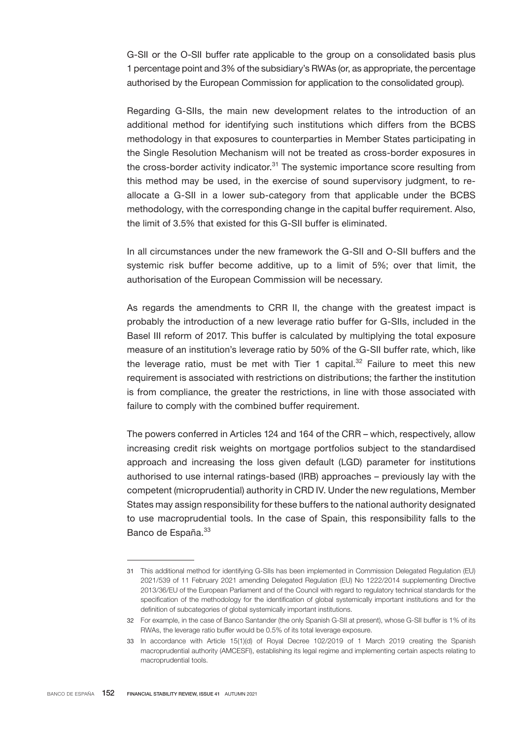G-SII or the O-SII buffer rate applicable to the group on a consolidated basis plus 1 percentage point and 3% of the subsidiary's RWAs (or, as appropriate, the percentage authorised by the European Commission for application to the consolidated group).

Regarding G-SIIs, the main new development relates to the introduction of an additional method for identifying such institutions which differs from the BCBS methodology in that exposures to counterparties in Member States participating in the Single Resolution Mechanism will not be treated as cross-border exposures in the cross-border activity indicator. $31$  The systemic importance score resulting from this method may be used, in the exercise of sound supervisory judgment, to reallocate a G-SII in a lower sub-category from that applicable under the BCBS methodology, with the corresponding change in the capital buffer requirement. Also, the limit of 3.5% that existed for this G-SII buffer is eliminated.

In all circumstances under the new framework the G-SII and O-SII buffers and the systemic risk buffer become additive, up to a limit of 5%; over that limit, the authorisation of the European Commission will be necessary.

As regards the amendments to CRR II, the change with the greatest impact is probably the introduction of a new leverage ratio buffer for G-SIIs, included in the Basel III reform of 2017. This buffer is calculated by multiplying the total exposure measure of an institution's leverage ratio by 50% of the G-SII buffer rate, which, like the leverage ratio, must be met with Tier 1 capital. $32$  Failure to meet this new requirement is associated with restrictions on distributions; the farther the institution is from compliance, the greater the restrictions, in line with those associated with failure to comply with the combined buffer requirement.

The powers conferred in Articles 124 and 164 of the CRR – which, respectively, allow increasing credit risk weights on mortgage portfolios subject to the standardised approach and increasing the loss given default (LGD) parameter for institutions authorised to use internal ratings-based (IRB) approaches – previously lay with the competent (microprudential) authority in CRD IV. Under the new regulations, Member States may assign responsibility for these buffers to the national authority designated to use macroprudential tools. In the case of Spain, this responsibility falls to the Banco de España.<sup>33</sup>

<sup>31</sup> This additional method for identifying G-SIIs has been implemented in Commission Delegated Regulation (EU) 2021/539 of 11 February 2021 amending Delegated Regulation (EU) No 1222/2014 supplementing Directive 2013/36/EU of the European Parliament and of the Council with regard to regulatory technical standards for the specification of the methodology for the identification of global systemically important institutions and for the definition of subcategories of global systemically important institutions.

<sup>32</sup> For example, in the case of Banco Santander (the only Spanish G-SII at present), whose G-SII buffer is 1% of its RWAs, the leverage ratio buffer would be 0.5% of its total leverage exposure.

<sup>33</sup> In accordance with Article 15(1)(d) of Royal Decree 102/2019 of 1 March 2019 creating the Spanish macroprudential authority (AMCESFI), establishing its legal regime and implementing certain aspects relating to macroprudential tools.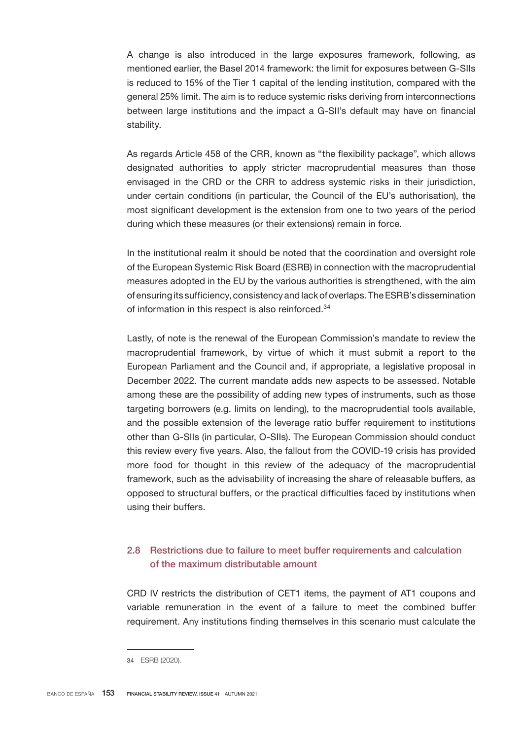A change is also introduced in the large exposures framework, following, as mentioned earlier, the Basel 2014 framework: the limit for exposures between G-SIIs is reduced to 15% of the Tier 1 capital of the lending institution, compared with the general 25% limit. The aim is to reduce systemic risks deriving from interconnections between large institutions and the impact a G-SII's default may have on financial stability.

As regards Article 458 of the CRR, known as "the flexibility package", which allows designated authorities to apply stricter macroprudential measures than those envisaged in the CRD or the CRR to address systemic risks in their jurisdiction, under certain conditions (in particular, the Council of the EU's authorisation), the most significant development is the extension from one to two years of the period during which these measures (or their extensions) remain in force.

In the institutional realm it should be noted that the coordination and oversight role of the European Systemic Risk Board (ESRB) in connection with the macroprudential measures adopted in the EU by the various authorities is strengthened, with the aim of ensuring its sufficiency, consistency and lack of overlaps. The ESRB's dissemination of information in this respect is also reinforced.<sup>34</sup>

Lastly, of note is the renewal of the European Commission's mandate to review the macroprudential framework, by virtue of which it must submit a report to the European Parliament and the Council and, if appropriate, a legislative proposal in December 2022. The current mandate adds new aspects to be assessed. Notable among these are the possibility of adding new types of instruments, such as those targeting borrowers (e.g. limits on lending), to the macroprudential tools available, and the possible extension of the leverage ratio buffer requirement to institutions other than G-SIIs (in particular, O-SIIs). The European Commission should conduct this review every five years. Also, the fallout from the COVID-19 crisis has provided more food for thought in this review of the adequacy of the macroprudential framework, such as the advisability of increasing the share of releasable buffers, as opposed to structural buffers, or the practical difficulties faced by institutions when using their buffers.

## 2.8 Restrictions due to failure to meet buffer requirements and calculation of the maximum distributable amount

CRD IV restricts the distribution of CET1 items, the payment of AT1 coupons and variable remuneration in the event of a failure to meet the combined buffer requirement. Any institutions finding themselves in this scenario must calculate the

<sup>34</sup> ESRB (2020).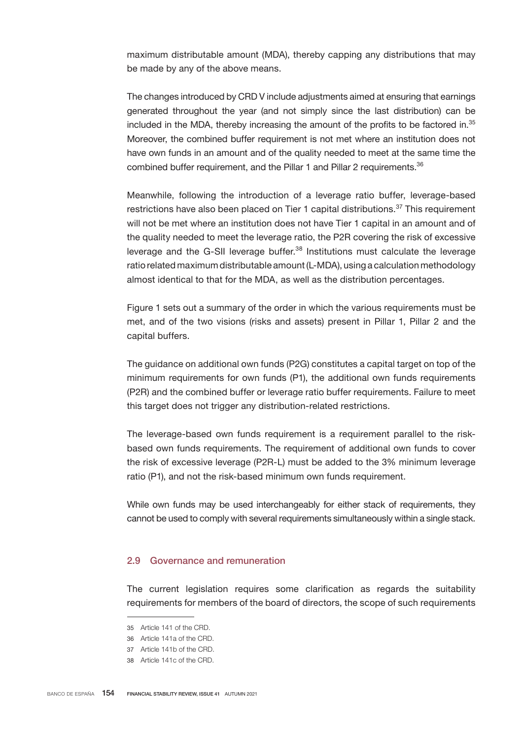maximum distributable amount (MDA), thereby capping any distributions that may be made by any of the above means.

The changes introduced by CRD V include adjustments aimed at ensuring that earnings generated throughout the year (and not simply since the last distribution) can be included in the MDA, thereby increasing the amount of the profits to be factored in.<sup>35</sup> Moreover, the combined buffer requirement is not met where an institution does not have own funds in an amount and of the quality needed to meet at the same time the combined buffer requirement, and the Pillar 1 and Pillar 2 requirements.<sup>36</sup>

Meanwhile, following the introduction of a leverage ratio buffer, leverage-based restrictions have also been placed on Tier 1 capital distributions.<sup>37</sup> This requirement will not be met where an institution does not have Tier 1 capital in an amount and of the quality needed to meet the leverage ratio, the P2R covering the risk of excessive leverage and the G-SII leverage buffer.<sup>38</sup> Institutions must calculate the leverage ratio related maximum distributable amount (L-MDA), using a calculation methodology almost identical to that for the MDA, as well as the distribution percentages.

Figure 1 sets out a summary of the order in which the various requirements must be met, and of the two visions (risks and assets) present in Pillar 1, Pillar 2 and the capital buffers.

The guidance on additional own funds (P2G) constitutes a capital target on top of the minimum requirements for own funds (P1), the additional own funds requirements (P2R) and the combined buffer or leverage ratio buffer requirements. Failure to meet this target does not trigger any distribution-related restrictions.

The leverage-based own funds requirement is a requirement parallel to the riskbased own funds requirements. The requirement of additional own funds to cover the risk of excessive leverage (P2R-L) must be added to the 3% minimum leverage ratio (P1), and not the risk-based minimum own funds requirement.

While own funds may be used interchangeably for either stack of requirements, they cannot be used to comply with several requirements simultaneously within a single stack.

### 2.9 Governance and remuneration

The current legislation requires some clarification as regards the suitability requirements for members of the board of directors, the scope of such requirements

<sup>35</sup> Article 141 of the CRD.

<sup>36</sup> Article 141a of the CRD.

<sup>37</sup> Article 141b of the CRD.

<sup>38</sup> Article 141c of the CRD.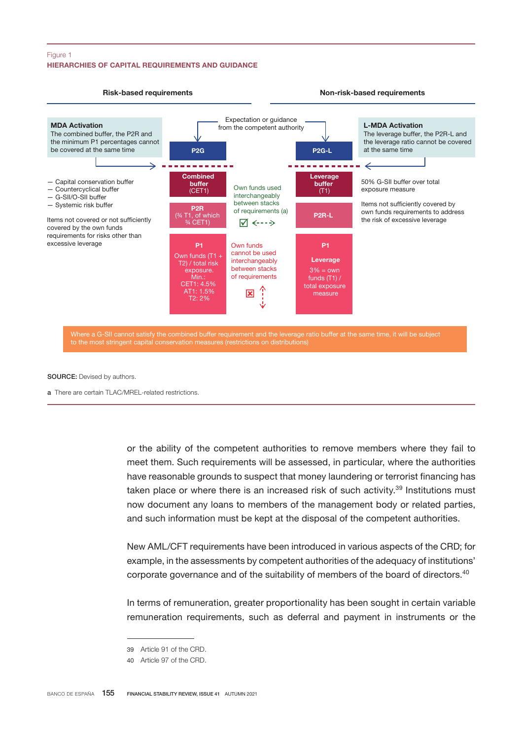### HIERARCHIES OF CAPITAL REQUIREMENTS AND GUIDANCE Figure 1



#### SOURCE: Devised by authors.

a There are certain TLAC/MREL-related restrictions.

or the ability of the competent authorities to remove members where they fail to meet them. Such requirements will be assessed, in particular, where the authorities have reasonable grounds to suspect that money laundering or terrorist financing has taken place or where there is an increased risk of such activity.<sup>39</sup> Institutions must now document any loans to members of the management body or related parties, and such information must be kept at the disposal of the competent authorities.

New AML/CFT requirements have been introduced in various aspects of the CRD; for example, in the assessments by competent authorities of the adequacy of institutions' corporate governance and of the suitability of members of the board of directors.<sup>40</sup>

In terms of remuneration, greater proportionality has been sought in certain variable remuneration requirements, such as deferral and payment in instruments or the

<sup>39</sup> Article 91 of the CRD.

<sup>40</sup> Article 97 of the CRD.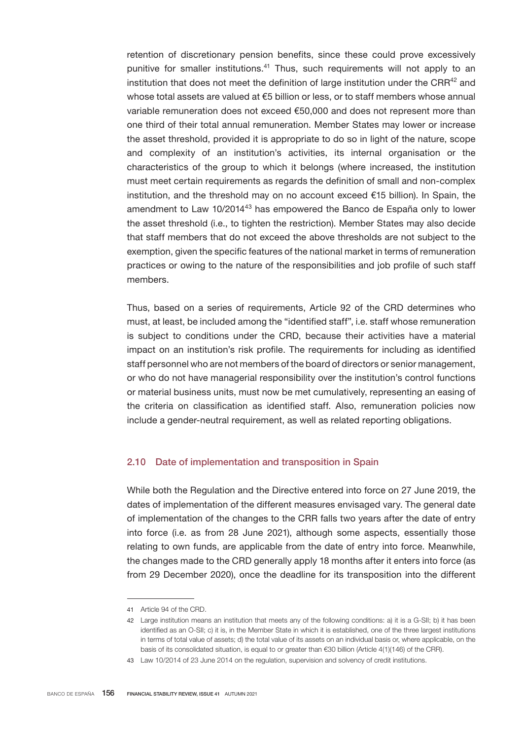retention of discretionary pension benefits, since these could prove excessively punitive for smaller institutions.<sup>41</sup> Thus, such requirements will not apply to an institution that does not meet the definition of large institution under the CRR $42$  and whose total assets are valued at €5 billion or less, or to staff members whose annual variable remuneration does not exceed €50,000 and does not represent more than one third of their total annual remuneration. Member States may lower or increase the asset threshold, provided it is appropriate to do so in light of the nature, scope and complexity of an institution's activities, its internal organisation or the characteristics of the group to which it belongs (where increased, the institution must meet certain requirements as regards the definition of small and non-complex institution, and the threshold may on no account exceed €15 billion). In Spain, the amendment to Law 10/2014<sup>43</sup> has empowered the Banco de España only to lower the asset threshold (i.e., to tighten the restriction). Member States may also decide that staff members that do not exceed the above thresholds are not subject to the exemption, given the specific features of the national market in terms of remuneration practices or owing to the nature of the responsibilities and job profile of such staff members.

Thus, based on a series of requirements, Article 92 of the CRD determines who must, at least, be included among the "identified staff", i.e. staff whose remuneration is subject to conditions under the CRD, because their activities have a material impact on an institution's risk profile. The requirements for including as identified staff personnel who are not members of the board of directors or senior management, or who do not have managerial responsibility over the institution's control functions or material business units, must now be met cumulatively, representing an easing of the criteria on classification as identified staff. Also, remuneration policies now include a gender-neutral requirement, as well as related reporting obligations.

## 2.10 Date of implementation and transposition in Spain

While both the Regulation and the Directive entered into force on 27 June 2019, the dates of implementation of the different measures envisaged vary. The general date of implementation of the changes to the CRR falls two years after the date of entry into force (i.e. as from 28 June 2021), although some aspects, essentially those relating to own funds, are applicable from the date of entry into force. Meanwhile, the changes made to the CRD generally apply 18 months after it enters into force (as from 29 December 2020), once the deadline for its transposition into the different

<sup>41</sup> Article 94 of the CRD.

<sup>42</sup> Large institution means an institution that meets any of the following conditions: a) it is a G-SII; b) it has been identified as an O-SII; c) it is, in the Member State in which it is established, one of the three largest institutions in terms of total value of assets; d) the total value of its assets on an individual basis or, where applicable, on the basis of its consolidated situation, is equal to or greater than €30 billion (Article 4(1)(146) of the CRR).

<sup>43</sup> Law 10/2014 of 23 June 2014 on the regulation, supervision and solvency of credit institutions.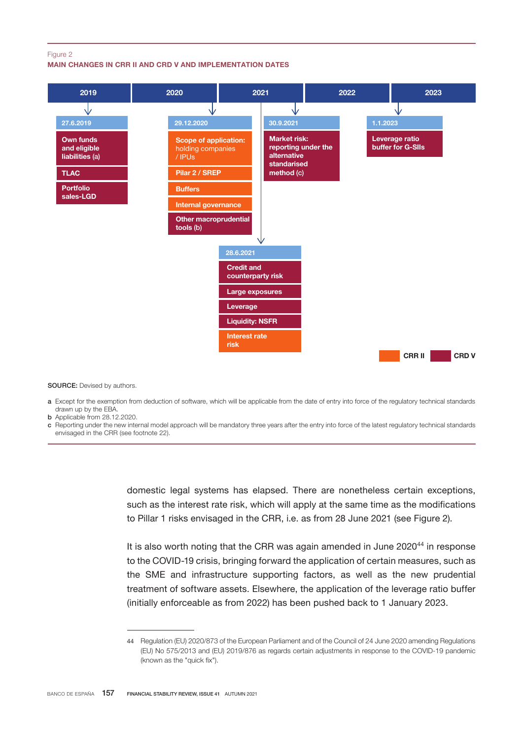#### Figure 2

### MAIN CHANGES IN CRR II AND CRD V AND IMPLEMENTATION DATES



SOURCE: Devised by authors.

- a Except for the exemption from deduction of software, which will be applicable from the date of entry into force of the regulatory technical standards drawn up by the EBA.
- b Applicable from 28.12.2020.
- c Reporting under the new internal model approach will be mandatory three years after the entry into force of the latest regulatory technical standards envisaged in the CRR (see footnote 22).

domestic legal systems has elapsed. There are nonetheless certain exceptions, such as the interest rate risk, which will apply at the same time as the modifications to Pillar 1 risks envisaged in the CRR, i.e. as from 28 June 2021 (see Figure 2).

It is also worth noting that the CRR was again amended in June  $2020^{44}$  in response to the COVID-19 crisis, bringing forward the application of certain measures, such as the SME and infrastructure supporting factors, as well as the new prudential treatment of software assets. Elsewhere, the application of the leverage ratio buffer (initially enforceable as from 2022) has been pushed back to 1 January 2023.

<sup>44</sup> Regulation (EU) 2020/873 of the European Parliament and of the Council of 24 June 2020 amending Regulations (EU) No 575/2013 and (EU) 2019/876 as regards certain adjustments in response to the COVID-19 pandemic (known as the "quick fix").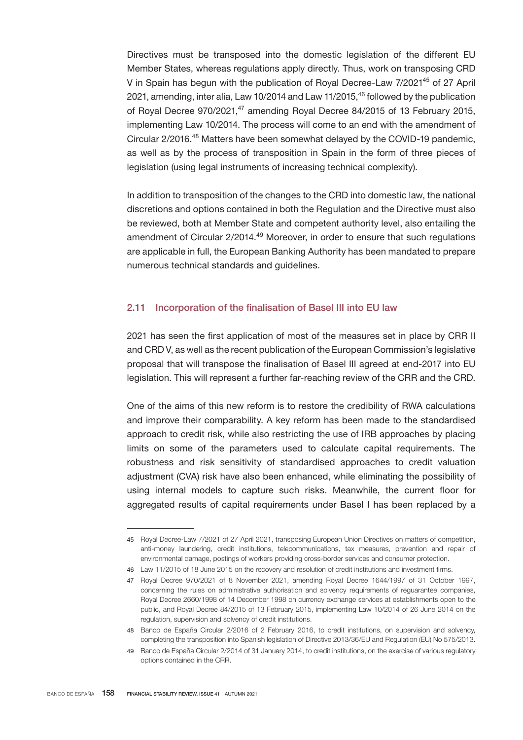Directives must be transposed into the domestic legislation of the different EU Member States, whereas regulations apply directly. Thus, work on transposing CRD V in Spain has begun with the publication of Royal Decree-Law 7/2021<sup>45</sup> of 27 April 2021, amending, inter alia, Law 10/2014 and Law 11/2015,<sup>46</sup> followed by the publication of Royal Decree 970/2021,<sup>47</sup> amending Royal Decree 84/2015 of 13 February 2015, implementing Law 10/2014. The process will come to an end with the amendment of Circular 2/2016.<sup>48</sup> Matters have been somewhat delayed by the COVID-19 pandemic, as well as by the process of transposition in Spain in the form of three pieces of legislation (using legal instruments of increasing technical complexity).

In addition to transposition of the changes to the CRD into domestic law, the national discretions and options contained in both the Regulation and the Directive must also be reviewed, both at Member State and competent authority level, also entailing the amendment of Circular 2/2014.<sup>49</sup> Moreover, in order to ensure that such regulations are applicable in full, the European Banking Authority has been mandated to prepare numerous technical standards and guidelines.

## 2.11 Incorporation of the finalisation of Basel III into EU law

2021 has seen the first application of most of the measures set in place by CRR II and CRD V, as well as the recent publication of the European Commission's legislative proposal that will transpose the finalisation of Basel III agreed at end-2017 into EU legislation. This will represent a further far-reaching review of the CRR and the CRD.

One of the aims of this new reform is to restore the credibility of RWA calculations and improve their comparability. A key reform has been made to the standardised approach to credit risk, while also restricting the use of IRB approaches by placing limits on some of the parameters used to calculate capital requirements. The robustness and risk sensitivity of standardised approaches to credit valuation adjustment (CVA) risk have also been enhanced, while eliminating the possibility of using internal models to capture such risks. Meanwhile, the current floor for aggregated results of capital requirements under Basel I has been replaced by a

<sup>45</sup> Royal Decree-Law 7/2021 of 27 April 2021, transposing European Union Directives on matters of competition, anti-money laundering, credit institutions, telecommunications, tax measures, prevention and repair of environmental damage, postings of workers providing cross-border services and consumer protection.

<sup>46</sup> Law 11/2015 of 18 June 2015 on the recovery and resolution of credit institutions and investment firms.

<sup>47</sup> Royal Decree 970/2021 of 8 November 2021, amending Royal Decree 1644/1997 of 31 October 1997, concerning the rules on administrative authorisation and solvency requirements of reguarantee companies, Royal Decree 2660/1998 of 14 December 1998 on currency exchange services at establishments open to the public, and Royal Decree 84/2015 of 13 February 2015, implementing Law 10/2014 of 26 June 2014 on the regulation, supervision and solvency of credit institutions.

<sup>48</sup> Banco de España Circular 2/2016 of 2 February 2016, to credit institutions, on supervision and solvency, completing the transposition into Spanish legislation of Directive 2013/36/EU and Regulation (EU) No 575/2013.

<sup>49</sup> Banco de España Circular 2/2014 of 31 January 2014, to credit institutions, on the exercise of various regulatory options contained in the CRR.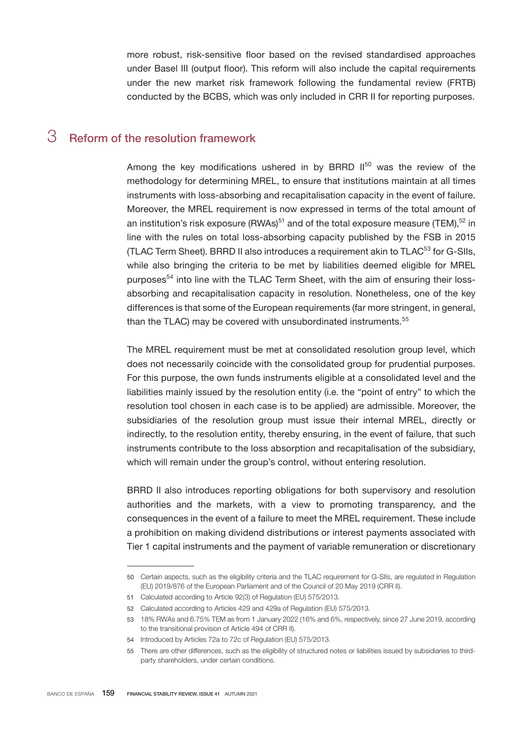more robust, risk-sensitive floor based on the revised standardised approaches under Basel III (output floor). This reform will also include the capital requirements under the new market risk framework following the fundamental review (FRTB) conducted by the BCBS, which was only included in CRR II for reporting purposes.

# 3 Reform of the resolution framework

Among the key modifications ushered in by BRRD  $II<sup>50</sup>$  was the review of the methodology for determining MREL, to ensure that institutions maintain at all times instruments with loss-absorbing and recapitalisation capacity in the event of failure. Moreover, the MREL requirement is now expressed in terms of the total amount of an institution's risk exposure (RWAs)<sup>51</sup> and of the total exposure measure (TEM),<sup>52</sup> in line with the rules on total loss-absorbing capacity published by the FSB in 2015 (TLAC Term Sheet). BRRD II also introduces a requirement akin to TLAC<sup>53</sup> for G-SIIs, while also bringing the criteria to be met by liabilities deemed eligible for MREL purposes<sup>54</sup> into line with the TLAC Term Sheet, with the aim of ensuring their lossabsorbing and recapitalisation capacity in resolution. Nonetheless, one of the key differences is that some of the European requirements (far more stringent, in general, than the TLAC) may be covered with unsubordinated instruments.<sup>55</sup>

The MREL requirement must be met at consolidated resolution group level, which does not necessarily coincide with the consolidated group for prudential purposes. For this purpose, the own funds instruments eligible at a consolidated level and the liabilities mainly issued by the resolution entity (i.e. the "point of entry" to which the resolution tool chosen in each case is to be applied) are admissible. Moreover, the subsidiaries of the resolution group must issue their internal MREL, directly or indirectly, to the resolution entity, thereby ensuring, in the event of failure, that such instruments contribute to the loss absorption and recapitalisation of the subsidiary, which will remain under the group's control, without entering resolution.

BRRD II also introduces reporting obligations for both supervisory and resolution authorities and the markets, with a view to promoting transparency, and the consequences in the event of a failure to meet the MREL requirement. These include a prohibition on making dividend distributions or interest payments associated with Tier 1 capital instruments and the payment of variable remuneration or discretionary

<sup>50</sup> Certain aspects, such as the eligibility criteria and the TLAC requirement for G-SIIs, are regulated in Regulation (EU) 2019/876 of the European Parliament and of the Council of 20 May 2019 (CRR II).

<sup>51</sup> Calculated according to Article 92(3) of Regulation (EU) 575/2013.

<sup>52</sup> Calculated according to Articles 429 and 429a of Regulation (EU) 575/2013.

<sup>53</sup> 18% RWAs and 6.75% TEM as from 1 January 2022 (16% and 6%, respectively, since 27 June 2019, according to the transitional provision of Article 494 of CRR II).

<sup>54</sup> Introduced by Articles 72a to 72c of Regulation (EU) 575/2013.

<sup>55</sup> There are other differences, such as the eligibility of structured notes or liabilities issued by subsidiaries to thirdparty shareholders, under certain conditions.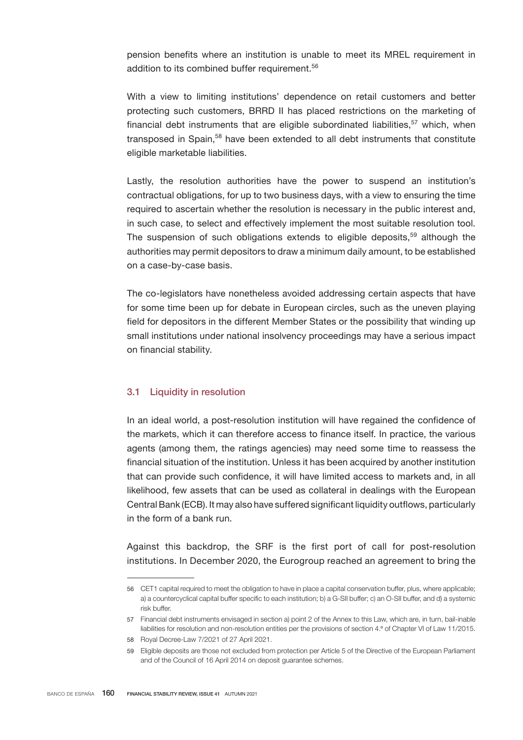pension benefits where an institution is unable to meet its MREL requirement in addition to its combined buffer requirement.<sup>56</sup>

With a view to limiting institutions' dependence on retail customers and better protecting such customers, BRRD II has placed restrictions on the marketing of financial debt instruments that are eligible subordinated liabilities, $57$  which, when transposed in Spain,<sup>58</sup> have been extended to all debt instruments that constitute eligible marketable liabilities.

Lastly, the resolution authorities have the power to suspend an institution's contractual obligations, for up to two business days, with a view to ensuring the time required to ascertain whether the resolution is necessary in the public interest and, in such case, to select and effectively implement the most suitable resolution tool. The suspension of such obligations extends to eligible deposits, $59$  although the authorities may permit depositors to draw a minimum daily amount, to be established on a case-by-case basis.

The co-legislators have nonetheless avoided addressing certain aspects that have for some time been up for debate in European circles, such as the uneven playing field for depositors in the different Member States or the possibility that winding up small institutions under national insolvency proceedings may have a serious impact on financial stability.

## 3.1 Liquidity in resolution

In an ideal world, a post-resolution institution will have regained the confidence of the markets, which it can therefore access to finance itself. In practice, the various agents (among them, the ratings agencies) may need some time to reassess the financial situation of the institution. Unless it has been acquired by another institution that can provide such confidence, it will have limited access to markets and, in all likelihood, few assets that can be used as collateral in dealings with the European Central Bank (ECB). It may also have suffered significant liquidity outflows, particularly in the form of a bank run.

Against this backdrop, the SRF is the first port of call for post-resolution institutions. In December 2020, the Eurogroup reached an agreement to bring the

<sup>56</sup> CET1 capital required to meet the obligation to have in place a capital conservation buffer, plus, where applicable; a) a countercyclical capital buffer specific to each institution; b) a G-SII buffer; c) an O-SII buffer, and d) a systemic risk buffer.

<sup>57</sup> Financial debt instruments envisaged in section a) point 2 of the Annex to this Law, which are, in turn, bail-inable liabilities for resolution and non-resolution entities per the provisions of section 4.ª of Chapter VI of Law 11/2015.

<sup>58</sup> Royal Decree-Law 7/2021 of 27 April 2021.

<sup>59</sup> Eligible deposits are those not excluded from protection per Article 5 of the Directive of the European Parliament and of the Council of 16 April 2014 on deposit guarantee schemes.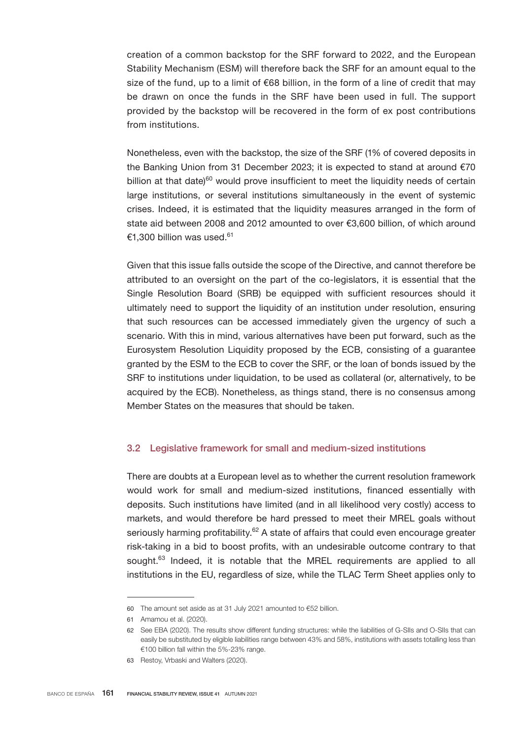creation of a common backstop for the SRF forward to 2022, and the European Stability Mechanism (ESM) will therefore back the SRF for an amount equal to the size of the fund, up to a limit of €68 billion, in the form of a line of credit that may be drawn on once the funds in the SRF have been used in full. The support provided by the backstop will be recovered in the form of ex post contributions from institutions.

Nonetheless, even with the backstop, the size of the SRF (1% of covered deposits in the Banking Union from 31 December 2023; it is expected to stand at around €70 billion at that date) $60$  would prove insufficient to meet the liquidity needs of certain large institutions, or several institutions simultaneously in the event of systemic crises. Indeed, it is estimated that the liquidity measures arranged in the form of state aid between 2008 and 2012 amounted to over €3,600 billion, of which around €1.300 billion was used.<sup>61</sup>

Given that this issue falls outside the scope of the Directive, and cannot therefore be attributed to an oversight on the part of the co-legislators, it is essential that the Single Resolution Board (SRB) be equipped with sufficient resources should it ultimately need to support the liquidity of an institution under resolution, ensuring that such resources can be accessed immediately given the urgency of such a scenario. With this in mind, various alternatives have been put forward, such as the Eurosystem Resolution Liquidity proposed by the ECB, consisting of a guarantee granted by the ESM to the ECB to cover the SRF, or the loan of bonds issued by the SRF to institutions under liquidation, to be used as collateral (or, alternatively, to be acquired by the ECB). Nonetheless, as things stand, there is no consensus among Member States on the measures that should be taken.

## 3.2 Legislative framework for small and medium-sized institutions

There are doubts at a European level as to whether the current resolution framework would work for small and medium-sized institutions, financed essentially with deposits. Such institutions have limited (and in all likelihood very costly) access to markets, and would therefore be hard pressed to meet their MREL goals without seriously harming profitability.<sup>62</sup> A state of affairs that could even encourage greater risk-taking in a bid to boost profits, with an undesirable outcome contrary to that sought.<sup>63</sup> Indeed, it is notable that the MREL requirements are applied to all institutions in the EU, regardless of size, while the TLAC Term Sheet applies only to

<sup>60</sup> The amount set aside as at 31 July 2021 amounted to €52 billion.

<sup>61</sup> Amamou et al. (2020).

<sup>62</sup> See EBA (2020). The results show different funding structures: while the liabilities of G-SIIs and O-SIIs that can easily be substituted by eligible liabilities range between 43% and 58%, institutions with assets totalling less than €100 billion fall within the 5%-23% range.

<sup>63</sup> Restoy, Vrbaski and Walters (2020).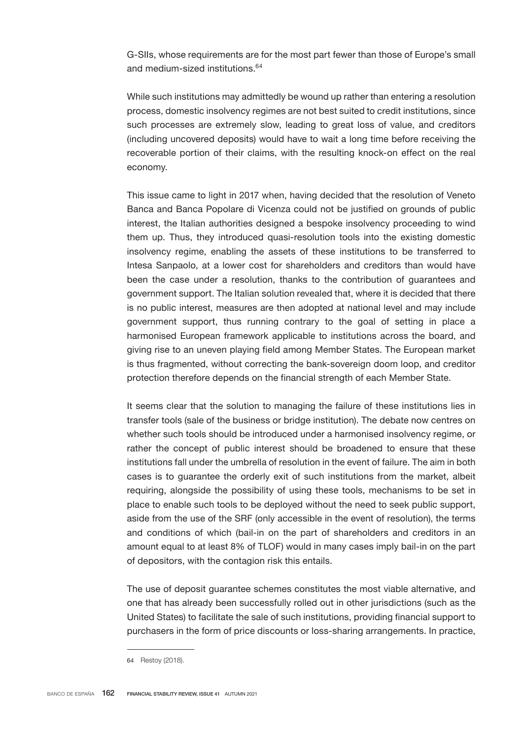G-SIIs, whose requirements are for the most part fewer than those of Europe's small and medium-sized institutions.<sup>64</sup>

While such institutions may admittedly be wound up rather than entering a resolution process, domestic insolvency regimes are not best suited to credit institutions, since such processes are extremely slow, leading to great loss of value, and creditors (including uncovered deposits) would have to wait a long time before receiving the recoverable portion of their claims, with the resulting knock-on effect on the real economy.

This issue came to light in 2017 when, having decided that the resolution of Veneto Banca and Banca Popolare di Vicenza could not be justified on grounds of public interest, the Italian authorities designed a bespoke insolvency proceeding to wind them up. Thus, they introduced quasi-resolution tools into the existing domestic insolvency regime, enabling the assets of these institutions to be transferred to Intesa Sanpaolo, at a lower cost for shareholders and creditors than would have been the case under a resolution, thanks to the contribution of guarantees and government support. The Italian solution revealed that, where it is decided that there is no public interest, measures are then adopted at national level and may include government support, thus running contrary to the goal of setting in place a harmonised European framework applicable to institutions across the board, and giving rise to an uneven playing field among Member States. The European market is thus fragmented, without correcting the bank-sovereign doom loop, and creditor protection therefore depends on the financial strength of each Member State.

It seems clear that the solution to managing the failure of these institutions lies in transfer tools (sale of the business or bridge institution). The debate now centres on whether such tools should be introduced under a harmonised insolvency regime, or rather the concept of public interest should be broadened to ensure that these institutions fall under the umbrella of resolution in the event of failure. The aim in both cases is to guarantee the orderly exit of such institutions from the market, albeit requiring, alongside the possibility of using these tools, mechanisms to be set in place to enable such tools to be deployed without the need to seek public support, aside from the use of the SRF (only accessible in the event of resolution), the terms and conditions of which (bail-in on the part of shareholders and creditors in an amount equal to at least 8% of TLOF) would in many cases imply bail-in on the part of depositors, with the contagion risk this entails.

The use of deposit guarantee schemes constitutes the most viable alternative, and one that has already been successfully rolled out in other jurisdictions (such as the United States) to facilitate the sale of such institutions, providing financial support to purchasers in the form of price discounts or loss-sharing arrangements. In practice,

<sup>64</sup> Restoy (2018).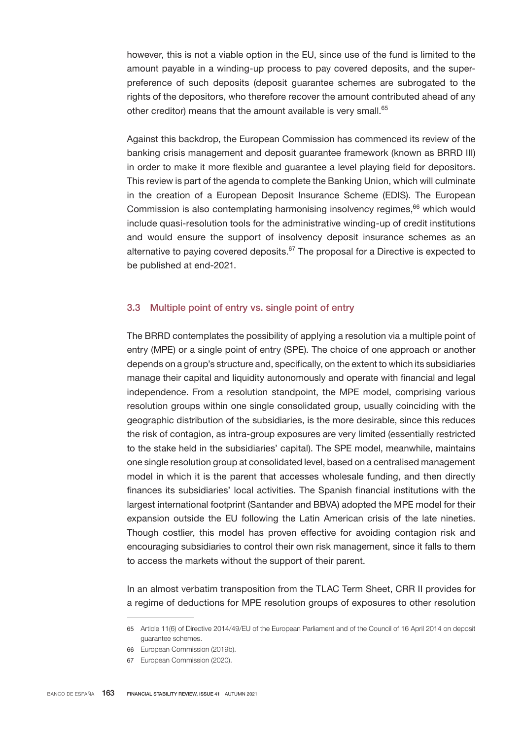however, this is not a viable option in the EU, since use of the fund is limited to the amount payable in a winding-up process to pay covered deposits, and the superpreference of such deposits (deposit guarantee schemes are subrogated to the rights of the depositors, who therefore recover the amount contributed ahead of any other creditor) means that the amount available is very small.<sup>65</sup>

Against this backdrop, the European Commission has commenced its review of the banking crisis management and deposit guarantee framework (known as BRRD III) in order to make it more flexible and guarantee a level playing field for depositors. This review is part of the agenda to complete the Banking Union, which will culminate in the creation of a European Deposit Insurance Scheme (EDIS). The European Commission is also contemplating harmonising insolvency regimes,<sup>66</sup> which would include quasi-resolution tools for the administrative winding-up of credit institutions and would ensure the support of insolvency deposit insurance schemes as an alternative to paying covered deposits. $67$  The proposal for a Directive is expected to be published at end-2021.

## 3.3 Multiple point of entry vs. single point of entry

The BRRD contemplates the possibility of applying a resolution via a multiple point of entry (MPE) or a single point of entry (SPE). The choice of one approach or another depends on a group's structure and, specifically, on the extent to which its subsidiaries manage their capital and liquidity autonomously and operate with financial and legal independence. From a resolution standpoint, the MPE model, comprising various resolution groups within one single consolidated group, usually coinciding with the geographic distribution of the subsidiaries, is the more desirable, since this reduces the risk of contagion, as intra-group exposures are very limited (essentially restricted to the stake held in the subsidiaries' capital). The SPE model, meanwhile, maintains one single resolution group at consolidated level, based on a centralised management model in which it is the parent that accesses wholesale funding, and then directly finances its subsidiaries' local activities. The Spanish financial institutions with the largest international footprint (Santander and BBVA) adopted the MPE model for their expansion outside the EU following the Latin American crisis of the late nineties. Though costlier, this model has proven effective for avoiding contagion risk and encouraging subsidiaries to control their own risk management, since it falls to them to access the markets without the support of their parent.

In an almost verbatim transposition from the TLAC Term Sheet, CRR II provides for a regime of deductions for MPE resolution groups of exposures to other resolution

<sup>65</sup> Article 11(6) of Directive 2014/49/EU of the European Parliament and of the Council of 16 April 2014 on deposit guarantee schemes.

<sup>66</sup> European Commission (2019b).

<sup>67</sup> European Commission (2020).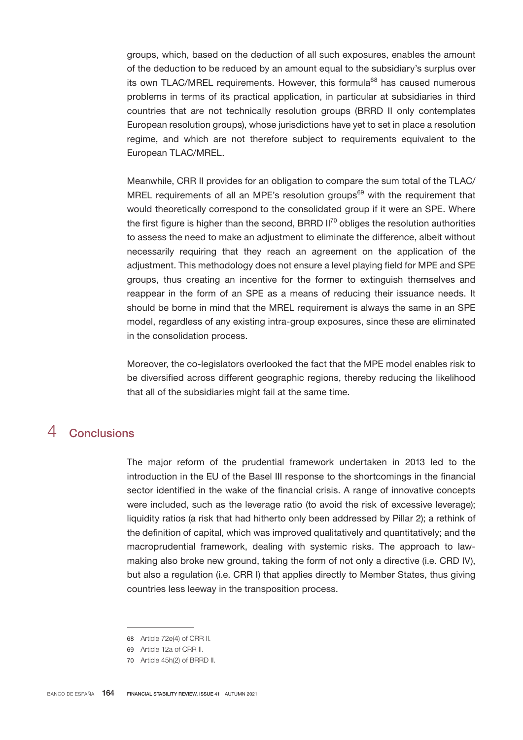groups, which, based on the deduction of all such exposures, enables the amount of the deduction to be reduced by an amount equal to the subsidiary's surplus over its own TLAC/MREL requirements. However, this formula<sup>68</sup> has caused numerous problems in terms of its practical application, in particular at subsidiaries in third countries that are not technically resolution groups (BRRD II only contemplates European resolution groups), whose jurisdictions have yet to set in place a resolution regime, and which are not therefore subject to requirements equivalent to the European TLAC/MREL.

Meanwhile, CRR II provides for an obligation to compare the sum total of the TLAC/ MREL requirements of all an MPE's resolution groups<sup>69</sup> with the requirement that would theoretically correspond to the consolidated group if it were an SPE. Where the first figure is higher than the second, BRRD  $II^{70}$  obliges the resolution authorities to assess the need to make an adjustment to eliminate the difference, albeit without necessarily requiring that they reach an agreement on the application of the adjustment. This methodology does not ensure a level playing field for MPE and SPE groups, thus creating an incentive for the former to extinguish themselves and reappear in the form of an SPE as a means of reducing their issuance needs. It should be borne in mind that the MREL requirement is always the same in an SPE model, regardless of any existing intra-group exposures, since these are eliminated in the consolidation process.

Moreover, the co-legislators overlooked the fact that the MPE model enables risk to be diversified across different geographic regions, thereby reducing the likelihood that all of the subsidiaries might fail at the same time.

# 4 Conclusions

The major reform of the prudential framework undertaken in 2013 led to the introduction in the EU of the Basel III response to the shortcomings in the financial sector identified in the wake of the financial crisis. A range of innovative concepts were included, such as the leverage ratio (to avoid the risk of excessive leverage); liquidity ratios (a risk that had hitherto only been addressed by Pillar 2); a rethink of the definition of capital, which was improved qualitatively and quantitatively; and the macroprudential framework, dealing with systemic risks. The approach to lawmaking also broke new ground, taking the form of not only a directive (i.e. CRD IV), but also a regulation (i.e. CRR I) that applies directly to Member States, thus giving countries less leeway in the transposition process.

<sup>68</sup> Article 72e(4) of CRR II.

<sup>69</sup> Article 12a of CRR II.

<sup>70</sup> Article 45h(2) of BRRD II.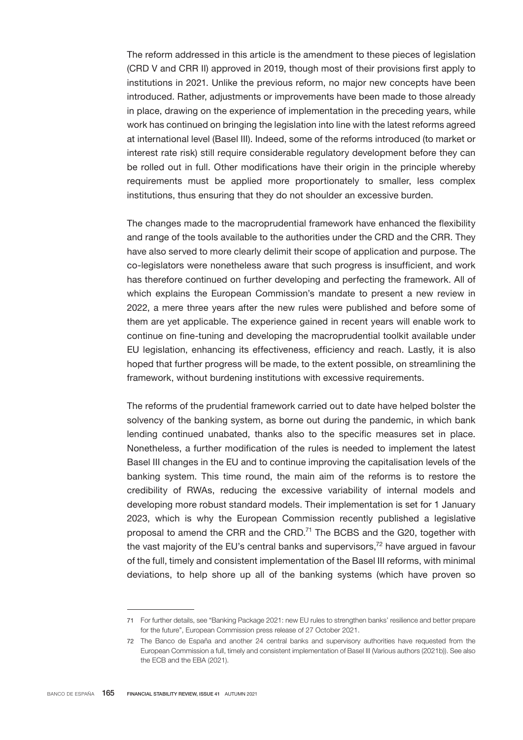The reform addressed in this article is the amendment to these pieces of legislation (CRD V and CRR II) approved in 2019, though most of their provisions first apply to institutions in 2021. Unlike the previous reform, no major new concepts have been introduced. Rather, adjustments or improvements have been made to those already in place, drawing on the experience of implementation in the preceding years, while work has continued on bringing the legislation into line with the latest reforms agreed at international level (Basel III). Indeed, some of the reforms introduced (to market or interest rate risk) still require considerable regulatory development before they can be rolled out in full. Other modifications have their origin in the principle whereby requirements must be applied more proportionately to smaller, less complex institutions, thus ensuring that they do not shoulder an excessive burden.

The changes made to the macroprudential framework have enhanced the flexibility and range of the tools available to the authorities under the CRD and the CRR. They have also served to more clearly delimit their scope of application and purpose. The co-legislators were nonetheless aware that such progress is insufficient, and work has therefore continued on further developing and perfecting the framework. All of which explains the European Commission's mandate to present a new review in 2022, a mere three years after the new rules were published and before some of them are yet applicable. The experience gained in recent years will enable work to continue on fine-tuning and developing the macroprudential toolkit available under EU legislation, enhancing its effectiveness, efficiency and reach. Lastly, it is also hoped that further progress will be made, to the extent possible, on streamlining the framework, without burdening institutions with excessive requirements.

The reforms of the prudential framework carried out to date have helped bolster the solvency of the banking system, as borne out during the pandemic, in which bank lending continued unabated, thanks also to the specific measures set in place. Nonetheless, a further modification of the rules is needed to implement the latest Basel III changes in the EU and to continue improving the capitalisation levels of the banking system. This time round, the main aim of the reforms is to restore the credibility of RWAs, reducing the excessive variability of internal models and developing more robust standard models. Their implementation is set for 1 January 2023, which is why the European Commission recently published a legislative proposal to amend the CRR and the CRD.<sup>71</sup> The BCBS and the G20, together with the vast majority of the EU's central banks and supervisors, $72$  have argued in favour of the full, timely and consistent implementation of the Basel III reforms, with minimal deviations, to help shore up all of the banking systems (which have proven so

<sup>71</sup> For further details, see "[Banking Package 2021: new EU rules to strengthen banks' resilience and better](https://ec.europa.eu/commission/presscorner/detail/en/IP_21_5401) [prepare](https://ec.europa.eu/commission/presscorner/detail/en/IP_21_5401) [for the future](https://ec.europa.eu/commission/presscorner/detail/en/IP_21_5401)", European Commission press release of 27 October 2021.

<sup>72</sup> [The Banco de España and another 24 central banks and supervisory authorities have requested from the](https://www.bde.es/f/webbde/GAP/Secciones/SalaPrensa/Noticias Ultima Hora/Fich/carta_basilea.pdf) [European Commission](https://www.bde.es/f/webbde/GAP/Secciones/SalaPrensa/Noticias Ultima Hora/Fich/carta_basilea.pdf) [a full, timely and consistent implementation of Basel III](https://www.bde.es/f/webbde/GAP/Secciones/SalaPrensa/Noticias Ultima Hora/Fich/carta_basilea.pdf) (Various authors (2021b)). See also the ECB and the EBA (2021).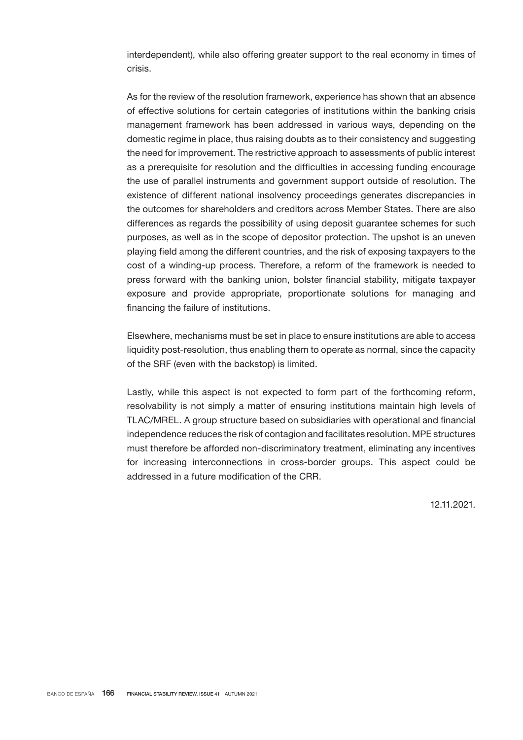interdependent), while also offering greater support to the real economy in times of crisis.

As for the review of the resolution framework, experience has shown that an absence of effective solutions for certain categories of institutions within the banking crisis management framework has been addressed in various ways, depending on the domestic regime in place, thus raising doubts as to their consistency and suggesting the need for improvement. The restrictive approach to assessments of public interest as a prerequisite for resolution and the difficulties in accessing funding encourage the use of parallel instruments and government support outside of resolution. The existence of different national insolvency proceedings generates discrepancies in the outcomes for shareholders and creditors across Member States. There are also differences as regards the possibility of using deposit guarantee schemes for such purposes, as well as in the scope of depositor protection. The upshot is an uneven playing field among the different countries, and the risk of exposing taxpayers to the cost of a winding-up process. Therefore, a reform of the framework is needed to press forward with the banking union, bolster financial stability, mitigate taxpayer exposure and provide appropriate, proportionate solutions for managing and financing the failure of institutions.

Elsewhere, mechanisms must be set in place to ensure institutions are able to access liquidity post-resolution, thus enabling them to operate as normal, since the capacity of the SRF (even with the backstop) is limited.

Lastly, while this aspect is not expected to form part of the forthcoming reform, resolvability is not simply a matter of ensuring institutions maintain high levels of TLAC/MREL. A group structure based on subsidiaries with operational and financial independence reduces the risk of contagion and facilitates resolution. MPE structures must therefore be afforded non-discriminatory treatment, eliminating any incentives for increasing interconnections in cross-border groups. This aspect could be addressed in a future modification of the CRR.

12.11.2021.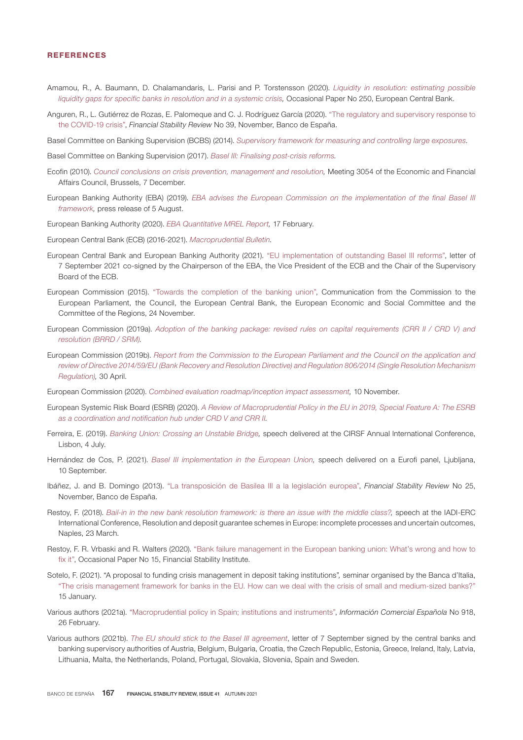#### REFERENCES

- Amamou, R., A. Baumann, D. Chalamandaris, L. Parisi and P. Torstensson (2020). *[Liquidity in resolution: estimating possible](https://www.ecb.europa.eu/pub/pdf/scpops/ecb.op250~c7a2d3cc7e.en.pdf) [liquidity gaps for specific banks in resolution and in a systemic crisis,](https://www.ecb.europa.eu/pub/pdf/scpops/ecb.op250~c7a2d3cc7e.en.pdf)* Occasional Paper No 250, European Central Bank.
- Anguren, R., L. Gutiérrez de Rozas, E. Palomeque and C. J. Rodríguez García (2020). "[The regulatory and supervisory response to](https://www.bde.es/f/webbde/GAP/Secciones/Publicaciones/InformesBoletinesRevistas/RevistaEstabilidadFinanciera/20/Regulatory_response.pdf) [the COVID-19 crisis"](https://www.bde.es/f/webbde/GAP/Secciones/Publicaciones/InformesBoletinesRevistas/RevistaEstabilidadFinanciera/20/Regulatory_response.pdf), *Financial Stability Review* No 39, November, Banco de España.

Basel Committee on Banking Supervision (BCBS) (2014). *[Supervisory framework for measuring and controlling large exposures.](https://www.bis.org/publ/bcbs283.pdf)*

Basel Committee on Banking Supervision (2017). *[Basel III: Finalising post-crisis reforms.](https://www.bis.org/bcbs/publ/d424.htm)*

- Ecofin (2010). *[Council conclusions on crisis prevention, management and resolution](https://www.consilium.europa.eu/uedocs/cms_data/docs/pressdata/en/ecofin/118266.pdf),* Meeting 3054 of the Economic and Financial Affairs Council, Brussels, 7 December.
- European Banking Authority (EBA) (2019). *[EBA advises the European Commission on the implementation of the final Basel III](https://www.eba.europa.eu/eba-advises-the-european-commission-on-the-implementation-of-the-final-basel-iii-framework) [framework](https://www.eba.europa.eu/eba-advises-the-european-commission-on-the-implementation-of-the-final-basel-iii-framework),* press release of 5 August.

European Banking Authority (2020). *[EBA Quantitative MREL Report,](https://www.eba.europa.eu/sites/default/documents/files/document_library/News and Press/Press Room/Press Releases/2020/EBA shows banks progress in planning for failure but encourages them to issue eligible debt instruments/EBA quantitative Report on MREL.pdf)* 17 February.

- European Central Bank (ECB) (2016-2021). *[Macroprudential Bulletin.](https://www.ecb.europa.eu/pub/financial-stability/macroprudential-bulletin/html/index.en.html)*
- European Central Bank and European Banking Authority (2021). ["EU implementation of outstanding Basel III reforms"](https://www.bankingsupervision.europa.eu/ecb/pub/pdf/ssm.ECB-EBA_letter_on_B3_implementation~88fdb33210.en.pdf), letter of 7 September 2021 co-signed by the Chairperson of the EBA, the Vice President of the ECB and the Chair of the Supervisory Board of the ECB.
- European Commission (2015). "[Towards the completion of the banking union",](https://eur-lex.europa.eu/legal-content/en/TXT/?uri=CELEX%3A52015DC0587) Communication from the Commission to the European Parliament, the Council, the European Central Bank, the European Economic and Social Committee and the Committee of the Regions, 24 November.
- European Commission (2019a). *[Adoption of the banking package: revised rules on capital requirements \(CRR II / CRD V\) and](https://ec.europa.eu/commission/presscorner/detail/en/MEMO_19_2129) [resolution](https://ec.europa.eu/commission/presscorner/detail/en/MEMO_19_2129) [\(BRRD / SRM\)](https://ec.europa.eu/commission/presscorner/detail/en/MEMO_19_2129).*
- European Commission (2019b). *[Report from the Commission to the European Parliament and the Council on the application and](https://ec.europa.eu/info/sites/default/files/business_economy_euro/banking_and_finance/documents/190430-report-bank-recovery-resolution_en.pdf) [review of Directive 2014/59/EU \(Bank Recovery and Resolution Directive\) and Regulation 806/2014 \(Single Resolution Mechanism](https://ec.europa.eu/info/sites/default/files/business_economy_euro/banking_and_finance/documents/190430-report-bank-recovery-resolution_en.pdf) [Regulation\),](https://ec.europa.eu/info/sites/default/files/business_economy_euro/banking_and_finance/documents/190430-report-bank-recovery-resolution_en.pdf)* 30 April.

European Commission (2020). *[Combined evaluation roadmap/inception impact assessment](https://eur-lex.europa.eu/legal-content/EN/TXT/PDF/?uri=PI_COM:Ares(2020)3320999&from=EN),* 10 November.

- European Systemic Risk Board (ESRB) (2020). *[A Review of Macroprudential Policy in the EU in 2019, Special Feature A: The ESRB](https://www.esrb.europa.eu/pub/pdf/reports/review_macroprudential_policy/sfa_4~ea618a97e4.en.pdf) [as a coordination and notification hub under CRD V and CRR](https://www.esrb.europa.eu/pub/pdf/reports/review_macroprudential_policy/sfa_4~ea618a97e4.en.pdf) II.*
- Ferreira, E. (2019). *[Banking Union: Crossing an Unstable Bridge](https://www.bportugal.pt/sites/default/files/anexos/documentos-relacionados/intervpub20170704.pdf),* speech delivered at the CIRSF Annual International Conference, Lisbon, 4 July.
- Hernández de Cos, P. (2021). *[Basel III implementation in the European Union](https://www.bde.es/f/webbde/GAP/Secciones/SalaPrensa/IntervencionesPublicas/Gobernador/Arc/Fic/09-10-21_gob_Eurofi.pdf),* speech delivered on a Eurofi panel, Ljubljana, 10 September.
- Ibáñez, J. and B. Domingo (2013). "[La transposición de Basilea III a la legislación europea",](https://www.bde.es/f/webbde/GAP/Secciones/Publicaciones/InformesBoletinesRevistas/RevistaEstabilidadFinanciera/13/Noviembre/Fic/ref2013253.pdf) *Financial Stability Review* No 25, November, Banco de España.
- Restoy, F. (2018). *[Bail-in in the new bank resolution framework: is there an issue with the middle class?](https://www.bis.org/speeches/sp180323.htm),* speech at the IADI-ERC International Conference, Resolution and deposit guarantee schemes in Europe: incomplete processes and uncertain outcomes, Naples, 23 March.
- Restoy, F. R. Vrbaski and R. Walters (2020). ["Bank failure management in the European banking union: What's wrong and how to](https://www.bis.org/fsi/fsipapers15.htm) [fix it"](https://www.bis.org/fsi/fsipapers15.htm), Occasional Paper No 15, Financial Stability Institute.
- Sotelo, F. (2021). "A proposal to funding crisis management in deposit taking institutions"*,* seminar organised by the Banca d'Italia, "[The crisis management framework for banks in the EU. How can we deal with the crisis of small and medium-sized banks?](https://www.bancaditalia.it/pubblicazioni/collana-seminari-convegni/2021-0024/n-24_The_crisis_management_framework_for_banks_in_the_EU.pdf?language_id=1)" 15 January.
- Various authors (2021a). "[Macroprudential policy in Spain; institutions and instruments](http://www.revistasice.com/index.php/ICE/issue/view/774)", *Información Comercial Española* No 918, 26 February.
- Various authors (2021b). *[The EU should stick to the Basel III agreement](https://www.bde.es/f/webbde/GAP/Secciones/SalaPrensa/Noticias Ultima Hora/Fich/carta_basilea.pdf)*, letter of 7 September signed by the central banks and banking supervisory authorities of Austria, Belgium, Bulgaria, Croatia, the Czech Republic, Estonia, Greece, Ireland, Italy, Latvia, Lithuania, Malta, the Netherlands, Poland, Portugal, Slovakia, Slovenia, Spain and Sweden.